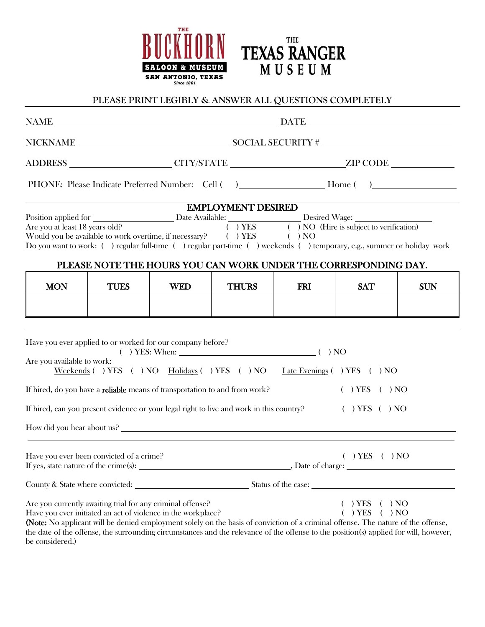



# **PLEASE PRINT LEGIBLY & ANSWER ALL QUESTIONS COMPLETELY**

|                                                                                                  |                                                                                                                            | NAME DATE DATE                                                                                                                                                                                                                                                                                                                                                                                                                                                                                                                                                  |                                                                                                      |                   |                                                                                                                                                                                                                                                                                                                                                                                                                                      |            |  |  |
|--------------------------------------------------------------------------------------------------|----------------------------------------------------------------------------------------------------------------------------|-----------------------------------------------------------------------------------------------------------------------------------------------------------------------------------------------------------------------------------------------------------------------------------------------------------------------------------------------------------------------------------------------------------------------------------------------------------------------------------------------------------------------------------------------------------------|------------------------------------------------------------------------------------------------------|-------------------|--------------------------------------------------------------------------------------------------------------------------------------------------------------------------------------------------------------------------------------------------------------------------------------------------------------------------------------------------------------------------------------------------------------------------------------|------------|--|--|
|                                                                                                  |                                                                                                                            | $\begin{minipage}{.4\linewidth} \textbf{NICKNAME} \end{minipage} \begin{minipage}{.4\linewidth} \textbf{SOCIAL SECURITY}\# \begin{minipage}{.4\linewidth} \end{minipage} \begin{minipage}{.4\linewidth} \textbf{SOCIAL SECURITY}\# \begin{minipage}{.4\linewidth} \end{minipage} \end{minipage} \begin{minipage}{.4\linewidth} \end{minipage} \begin{minipage}{.4\linewidth} \textbf{SOCIAL SECURITY}\# \begin{minipage}{.4\linewidth} \end{minipage} \begin{minipage}{.4\linewidth} \end{minipage} \begin{minipage}{.4\linewidth} \end{minipage} \begin{minip$ |                                                                                                      |                   |                                                                                                                                                                                                                                                                                                                                                                                                                                      |            |  |  |
|                                                                                                  |                                                                                                                            |                                                                                                                                                                                                                                                                                                                                                                                                                                                                                                                                                                 | ADDRESS ______________________CITY/STATE _______________________ZIP CODE ___________________________ |                   |                                                                                                                                                                                                                                                                                                                                                                                                                                      |            |  |  |
|                                                                                                  |                                                                                                                            |                                                                                                                                                                                                                                                                                                                                                                                                                                                                                                                                                                 |                                                                                                      |                   |                                                                                                                                                                                                                                                                                                                                                                                                                                      |            |  |  |
|                                                                                                  |                                                                                                                            |                                                                                                                                                                                                                                                                                                                                                                                                                                                                                                                                                                 | <b>EMPLOYMENT DESIRED</b>                                                                            |                   |                                                                                                                                                                                                                                                                                                                                                                                                                                      |            |  |  |
|                                                                                                  |                                                                                                                            |                                                                                                                                                                                                                                                                                                                                                                                                                                                                                                                                                                 |                                                                                                      |                   | Position applied for Desired Wage:<br>Are you at least 18 years old?<br>Would you be available to work overtime, if necessary?<br>(Campaignantic condition)<br>View Campaignantic Condition of the issubject to verification)<br>View Ca<br>Do you want to work: () regular full-time () regular part-time () weekends () temporary, e.g., summer or holiday work<br>PLEASE NOTE THE HOURS YOU CAN WORK UNDER THE CORRESPONDING DAY. |            |  |  |
| <b>MON</b>                                                                                       | <b>TUES</b>                                                                                                                | <b>WED</b>                                                                                                                                                                                                                                                                                                                                                                                                                                                                                                                                                      | <b>THURS</b>                                                                                         | <b>FRI</b>        | <b>SAT</b>                                                                                                                                                                                                                                                                                                                                                                                                                           | <b>SUN</b> |  |  |
|                                                                                                  |                                                                                                                            |                                                                                                                                                                                                                                                                                                                                                                                                                                                                                                                                                                 |                                                                                                      |                   |                                                                                                                                                                                                                                                                                                                                                                                                                                      |            |  |  |
|                                                                                                  |                                                                                                                            |                                                                                                                                                                                                                                                                                                                                                                                                                                                                                                                                                                 |                                                                                                      |                   |                                                                                                                                                                                                                                                                                                                                                                                                                                      |            |  |  |
| Are you available to work:                                                                       | Have you ever applied to or worked for our company before?                                                                 | $( )$ YES: When: $( )$ NO                                                                                                                                                                                                                                                                                                                                                                                                                                                                                                                                       |                                                                                                      |                   | Weekends () YES () NO Holidays () YES () NO Late Evenings () YES () NO                                                                                                                                                                                                                                                                                                                                                               |            |  |  |
| If hired, do you have a reliable means of transportation to and from work?<br>$( )$ YES $( )$ NO |                                                                                                                            |                                                                                                                                                                                                                                                                                                                                                                                                                                                                                                                                                                 |                                                                                                      |                   |                                                                                                                                                                                                                                                                                                                                                                                                                                      |            |  |  |
|                                                                                                  | If hired, can you present evidence or your legal right to live and work in this country?                                   |                                                                                                                                                                                                                                                                                                                                                                                                                                                                                                                                                                 |                                                                                                      |                   | $( )$ YES $( )$ NO                                                                                                                                                                                                                                                                                                                                                                                                                   |            |  |  |
|                                                                                                  |                                                                                                                            |                                                                                                                                                                                                                                                                                                                                                                                                                                                                                                                                                                 |                                                                                                      |                   | How did you hear about us?                                                                                                                                                                                                                                                                                                                                                                                                           |            |  |  |
| If yes, state nature of the crime(s):                                                            | Have you ever been convicted of a crime?                                                                                   |                                                                                                                                                                                                                                                                                                                                                                                                                                                                                                                                                                 |                                                                                                      | , Date of charge: | $( )$ YES $( )$ NO                                                                                                                                                                                                                                                                                                                                                                                                                   |            |  |  |
| County & State where convicted:                                                                  |                                                                                                                            |                                                                                                                                                                                                                                                                                                                                                                                                                                                                                                                                                                 |                                                                                                      |                   | Status of the case:                                                                                                                                                                                                                                                                                                                                                                                                                  |            |  |  |
| be considered.)                                                                                  | Are you currently awaiting trial for any criminal offense?<br>Have you ever initiated an act of violence in the workplace? |                                                                                                                                                                                                                                                                                                                                                                                                                                                                                                                                                                 |                                                                                                      |                   | $)$ YES<br>) YES<br>) NO<br>(Note: No applicant will be denied employment solely on the basis of conviction of a criminal offense. The nature of the offense,<br>the date of the offense, the surrounding circumstances and the relevance of the offense to the position(s) applied for will, however,                                                                                                                               | ) NO       |  |  |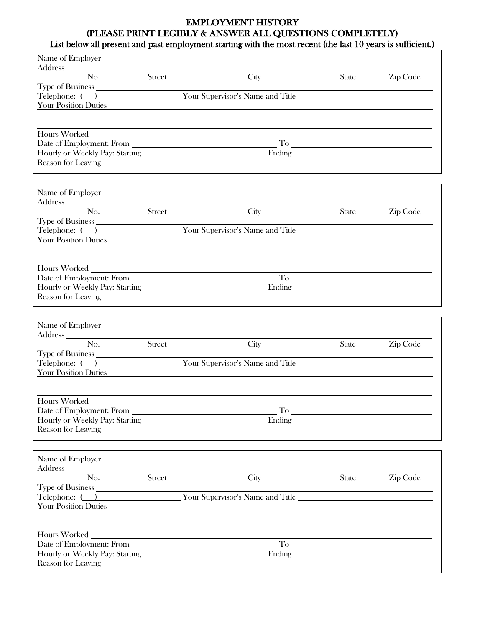## EMPLOYMENT HISTORY (PLEASE PRINT LEGIBLY & ANSWER ALL QUESTIONS COMPLETELY) List below all present and past employment starting with the most recent (the last 10 years is sufficient.)

| Address No. Street                                                                                                                                                                                                                 |                            | City                                            | <b>State</b>       | Zip Code                                                                                                                                                                                                                                                                                                                                                                                                                                                        |
|------------------------------------------------------------------------------------------------------------------------------------------------------------------------------------------------------------------------------------|----------------------------|-------------------------------------------------|--------------------|-----------------------------------------------------------------------------------------------------------------------------------------------------------------------------------------------------------------------------------------------------------------------------------------------------------------------------------------------------------------------------------------------------------------------------------------------------------------|
|                                                                                                                                                                                                                                    |                            |                                                 |                    |                                                                                                                                                                                                                                                                                                                                                                                                                                                                 |
| Your Position Duties                                                                                                                                                                                                               |                            |                                                 |                    |                                                                                                                                                                                                                                                                                                                                                                                                                                                                 |
|                                                                                                                                                                                                                                    |                            |                                                 |                    |                                                                                                                                                                                                                                                                                                                                                                                                                                                                 |
|                                                                                                                                                                                                                                    |                            |                                                 |                    |                                                                                                                                                                                                                                                                                                                                                                                                                                                                 |
|                                                                                                                                                                                                                                    |                            |                                                 |                    |                                                                                                                                                                                                                                                                                                                                                                                                                                                                 |
|                                                                                                                                                                                                                                    |                            |                                                 |                    |                                                                                                                                                                                                                                                                                                                                                                                                                                                                 |
|                                                                                                                                                                                                                                    |                            |                                                 |                    |                                                                                                                                                                                                                                                                                                                                                                                                                                                                 |
|                                                                                                                                                                                                                                    |                            |                                                 |                    |                                                                                                                                                                                                                                                                                                                                                                                                                                                                 |
|                                                                                                                                                                                                                                    |                            |                                                 |                    |                                                                                                                                                                                                                                                                                                                                                                                                                                                                 |
|                                                                                                                                                                                                                                    |                            |                                                 |                    |                                                                                                                                                                                                                                                                                                                                                                                                                                                                 |
| $\overline{No.}$                                                                                                                                                                                                                   |                            |                                                 |                    |                                                                                                                                                                                                                                                                                                                                                                                                                                                                 |
|                                                                                                                                                                                                                                    | $\overline{\text{Street}}$ | City                                            | <b>State</b>       | Zip Code                                                                                                                                                                                                                                                                                                                                                                                                                                                        |
| Type of Business                                                                                                                                                                                                                   |                            | Telephone: ( ) Your Supervisor's Name and Title |                    |                                                                                                                                                                                                                                                                                                                                                                                                                                                                 |
| Your Position Duties                                                                                                                                                                                                               |                            |                                                 |                    |                                                                                                                                                                                                                                                                                                                                                                                                                                                                 |
|                                                                                                                                                                                                                                    |                            |                                                 |                    |                                                                                                                                                                                                                                                                                                                                                                                                                                                                 |
|                                                                                                                                                                                                                                    |                            |                                                 |                    |                                                                                                                                                                                                                                                                                                                                                                                                                                                                 |
|                                                                                                                                                                                                                                    |                            |                                                 |                    |                                                                                                                                                                                                                                                                                                                                                                                                                                                                 |
|                                                                                                                                                                                                                                    |                            |                                                 | To $\qquad \qquad$ |                                                                                                                                                                                                                                                                                                                                                                                                                                                                 |
|                                                                                                                                                                                                                                    |                            |                                                 |                    |                                                                                                                                                                                                                                                                                                                                                                                                                                                                 |
|                                                                                                                                                                                                                                    |                            |                                                 |                    |                                                                                                                                                                                                                                                                                                                                                                                                                                                                 |
|                                                                                                                                                                                                                                    |                            | Name of Employer                                |                    |                                                                                                                                                                                                                                                                                                                                                                                                                                                                 |
|                                                                                                                                                                                                                                    |                            |                                                 |                    |                                                                                                                                                                                                                                                                                                                                                                                                                                                                 |
| No.                                                                                                                                                                                                                                | <b>Street</b>              | City                                            | <b>State</b>       | Zip Code                                                                                                                                                                                                                                                                                                                                                                                                                                                        |
|                                                                                                                                                                                                                                    |                            |                                                 |                    |                                                                                                                                                                                                                                                                                                                                                                                                                                                                 |
|                                                                                                                                                                                                                                    |                            | Telephone: ( ) Your Supervisor's Name and Title |                    |                                                                                                                                                                                                                                                                                                                                                                                                                                                                 |
| <b>Your Position Duties</b>                                                                                                                                                                                                        |                            |                                                 |                    |                                                                                                                                                                                                                                                                                                                                                                                                                                                                 |
|                                                                                                                                                                                                                                    |                            |                                                 |                    |                                                                                                                                                                                                                                                                                                                                                                                                                                                                 |
| Hours Worked                                                                                                                                                                                                                       |                            |                                                 |                    |                                                                                                                                                                                                                                                                                                                                                                                                                                                                 |
|                                                                                                                                                                                                                                    |                            |                                                 |                    | $\begin{tabular}{c} T_0 & \begin{tabular}{@{}c@{}} \hline \multicolumn{3}{@{\hspace{1em}}l} \multicolumn{3}{@{\hspace{1em}}l} \multicolumn{3}{@{\hspace{1em}}l} \multicolumn{3}{@{\hspace{1em}}l} \multicolumn{3}{@{\hspace{1em}}l} \multicolumn{3}{@{\hspace{1em}}l} \multicolumn{3}{@{\hspace{1em}}l} \multicolumn{3}{@{\hspace{1em}}l} \multicolumn{3}{@{\hspace{1em}}l} \multicolumn{3}{@{\hspace{1em}}l} \multicolumn{3}{@{\hspace{1em}}l} \multicolumn{3$ |
|                                                                                                                                                                                                                                    |                            |                                                 |                    | Ending the contract of the contract of the contract of the contract of the contract of the contract of the contract of the contract of the contract of the contract of the contract of the contract of the contract of the con                                                                                                                                                                                                                                  |
|                                                                                                                                                                                                                                    |                            |                                                 |                    |                                                                                                                                                                                                                                                                                                                                                                                                                                                                 |
|                                                                                                                                                                                                                                    |                            |                                                 |                    |                                                                                                                                                                                                                                                                                                                                                                                                                                                                 |
|                                                                                                                                                                                                                                    |                            |                                                 |                    |                                                                                                                                                                                                                                                                                                                                                                                                                                                                 |
| Address <b>Manual Community</b> and the community of the community of the community of the community of the community of the community of the community of the community of the community of the community of the community of the |                            |                                                 |                    |                                                                                                                                                                                                                                                                                                                                                                                                                                                                 |
| No.                                                                                                                                                                                                                                | Street                     | City                                            | <b>State</b>       | Zip Code                                                                                                                                                                                                                                                                                                                                                                                                                                                        |
|                                                                                                                                                                                                                                    |                            | Telephone: ( ) Your Supervisor's Name and Title |                    |                                                                                                                                                                                                                                                                                                                                                                                                                                                                 |
| Your Position Duties                                                                                                                                                                                                               |                            |                                                 |                    |                                                                                                                                                                                                                                                                                                                                                                                                                                                                 |
|                                                                                                                                                                                                                                    |                            |                                                 |                    |                                                                                                                                                                                                                                                                                                                                                                                                                                                                 |
|                                                                                                                                                                                                                                    |                            |                                                 |                    |                                                                                                                                                                                                                                                                                                                                                                                                                                                                 |
| Hours Worked                                                                                                                                                                                                                       |                            |                                                 |                    |                                                                                                                                                                                                                                                                                                                                                                                                                                                                 |
|                                                                                                                                                                                                                                    |                            |                                                 |                    | $\begin{tabular}{c} To \end{tabular}$                                                                                                                                                                                                                                                                                                                                                                                                                           |
|                                                                                                                                                                                                                                    |                            |                                                 |                    |                                                                                                                                                                                                                                                                                                                                                                                                                                                                 |
|                                                                                                                                                                                                                                    |                            |                                                 |                    |                                                                                                                                                                                                                                                                                                                                                                                                                                                                 |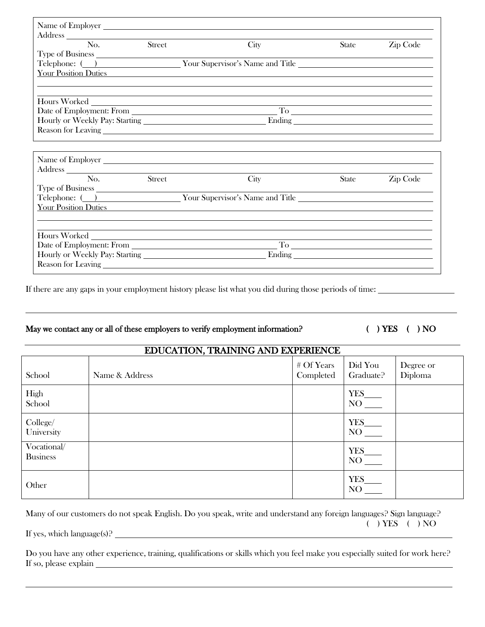| Address No. Street                                                                                                                                                                                                                                                                                                                                                                                                                                                     |        | City                                                                                      | State        | Zip Code |  |
|------------------------------------------------------------------------------------------------------------------------------------------------------------------------------------------------------------------------------------------------------------------------------------------------------------------------------------------------------------------------------------------------------------------------------------------------------------------------|--------|-------------------------------------------------------------------------------------------|--------------|----------|--|
|                                                                                                                                                                                                                                                                                                                                                                                                                                                                        |        |                                                                                           |              |          |  |
| Telephone: ( ) Your Supervisor's Name and Title                                                                                                                                                                                                                                                                                                                                                                                                                        |        |                                                                                           |              |          |  |
| <b>Your Position Duties</b>                                                                                                                                                                                                                                                                                                                                                                                                                                            |        |                                                                                           |              |          |  |
|                                                                                                                                                                                                                                                                                                                                                                                                                                                                        |        |                                                                                           |              |          |  |
|                                                                                                                                                                                                                                                                                                                                                                                                                                                                        |        |                                                                                           |              |          |  |
|                                                                                                                                                                                                                                                                                                                                                                                                                                                                        |        |                                                                                           |              |          |  |
|                                                                                                                                                                                                                                                                                                                                                                                                                                                                        |        |                                                                                           |              |          |  |
|                                                                                                                                                                                                                                                                                                                                                                                                                                                                        |        |                                                                                           |              |          |  |
|                                                                                                                                                                                                                                                                                                                                                                                                                                                                        |        |                                                                                           |              |          |  |
|                                                                                                                                                                                                                                                                                                                                                                                                                                                                        |        |                                                                                           |              |          |  |
|                                                                                                                                                                                                                                                                                                                                                                                                                                                                        |        |                                                                                           |              |          |  |
| Address                                                                                                                                                                                                                                                                                                                                                                                                                                                                |        |                                                                                           |              |          |  |
| No.                                                                                                                                                                                                                                                                                                                                                                                                                                                                    | Street | City                                                                                      | <b>State</b> | Zip Code |  |
|                                                                                                                                                                                                                                                                                                                                                                                                                                                                        |        |                                                                                           |              |          |  |
| Telephone: ( ) Your Supervisor's Name and Title _________________________________                                                                                                                                                                                                                                                                                                                                                                                      |        |                                                                                           |              |          |  |
| Your Position Duties                                                                                                                                                                                                                                                                                                                                                                                                                                                   |        | the control of the control of the control of the control of the control of the control of |              |          |  |
|                                                                                                                                                                                                                                                                                                                                                                                                                                                                        |        |                                                                                           |              |          |  |
|                                                                                                                                                                                                                                                                                                                                                                                                                                                                        |        |                                                                                           |              |          |  |
| Hours Worked                                                                                                                                                                                                                                                                                                                                                                                                                                                           |        |                                                                                           |              |          |  |
| Date of Employment: From                                                                                                                                                                                                                                                                                                                                                                                                                                               |        |                                                                                           |              |          |  |
| Ending <u>and the contract of the contract of the contract of the contract of the contract of the contract of the contract of the contract of the contract of the contract of the contract of the contract of the contract of th</u><br>Reason for Leaving Present Contract Contract Contract Contract Contract Contract Contract Contract Contract Contract Contract Contract Contract Contract Contract Contract Contract Contract Contract Contract Contract Contra |        |                                                                                           |              |          |  |
|                                                                                                                                                                                                                                                                                                                                                                                                                                                                        |        |                                                                                           |              |          |  |

If there are any gaps in your employment history please list what you did during those periods of time:

### May we contact any or all of these employers to verify employment information? ( ) YES ( ) NO

| EDUCATION, TRAINING AND EXPERIENCE |                |                           |                      |                      |  |
|------------------------------------|----------------|---------------------------|----------------------|----------------------|--|
| School                             | Name & Address | $#$ Of Years<br>Completed | Did You<br>Graduate? | Degree or<br>Diploma |  |
| High<br>School                     |                |                           | YES                  |                      |  |
| College/<br>University             |                |                           | YES<br>NO            |                      |  |
| Vocational/<br><b>Business</b>     |                |                           | YES_<br>NO           |                      |  |
| Other                              |                |                           | YES<br>NO            |                      |  |

<u>. Andre and the second control of the second control of the second control of the second control of the second</u>

Many of our customers do not speak English. Do you speak, write and understand any foreign languages? Sign language? ( ) YES ( ) NO If yes, which language(s)?

l

Do you have any other experience, training, qualifications or skills which you feel make you especially suited for work here? If so, please explain